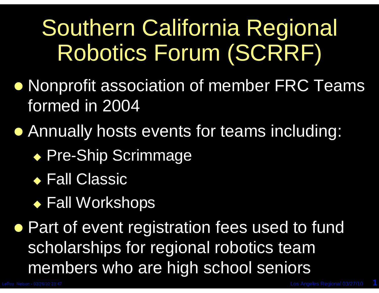## Southern California Regional Robotics Forum (SCRRF)

- Nonprofit association of member FRC Teams formed in 2004
- Annually hosts events for teams including:
	- ◆ Pre-Ship Scrimmage
	- ◆ Fall Classic
	- ◆ Fall Workshops

**• Part of event registration fees used to fund** scholarships for regional robotics team members who are high school seniors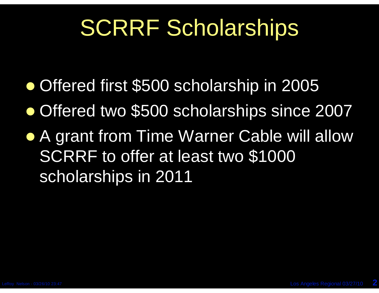## SCRRF Scholarships

- Offered first \$500 scholarship in 2005
- Offered two \$500 scholarships since 2007
- A grant from Time Warner Cable will allow SCRRF to offer at least two \$1000 scholarships in 2011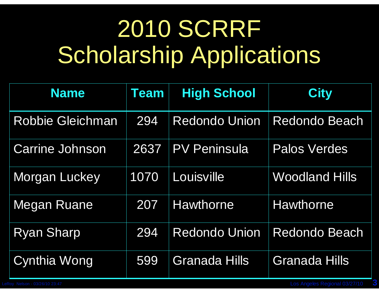# 2010 SCRRF Scholarship Applications

| <b>Name</b>             | <b>Team</b> | <b>High School</b>   | <b>City</b>           |
|-------------------------|-------------|----------------------|-----------------------|
| <b>Robbie Gleichman</b> | 294         | <b>Redondo Union</b> | <b>Redondo Beach</b>  |
| <b>Carrine Johnson</b>  | 2637        | <b>PV Peninsula</b>  | <b>Palos Verdes</b>   |
| Morgan Luckey           | 1070        | Louisville           | <b>Woodland Hills</b> |
| Megan Ruane             | 207         | <b>Hawthorne</b>     | <b>Hawthorne</b>      |
| <b>Ryan Sharp</b>       | 294         | <b>Redondo Union</b> | <b>Redondo Beach</b>  |
| Cynthia Wong            | 599         | <b>Granada Hills</b> | <b>Granada Hills</b>  |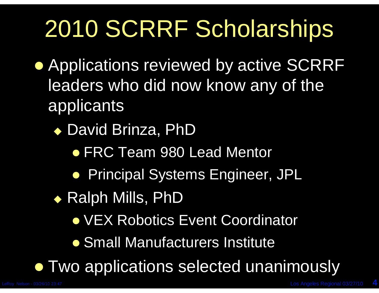# 2010 SCRRF Scholarships

- **Applications reviewed by active SCRRF** leaders who did now know any of the applicants
	- ◆ David Brinza, PhD
		- **FRC Team 980 Lead Mentor**
		- **Principal Systems Engineer, JPL**
	- ◆ Ralph Mills, PhD
		- **VEX Robotics Event Coordinator**
		- **Small Manufacturers Institute**

**• Two applications selected unanimously**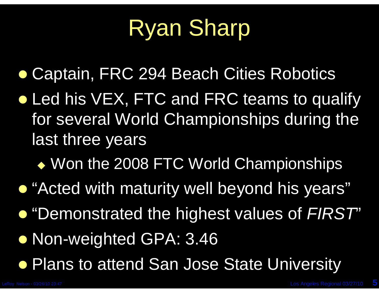### Ryan Sharp

Captain, FRC 294 Beach Cities Robotics

- Led his VEX, FTC and FRC teams to qualify for several World Championships during the last three years
	- Won the 2008 FTC World Championships
- **.** "Acted with maturity well beyond his years"
- "Demonstrated the highest values of *FIRST*"
- **Non-weighted GPA: 3.46**
- **Plans to attend San Jose State University**